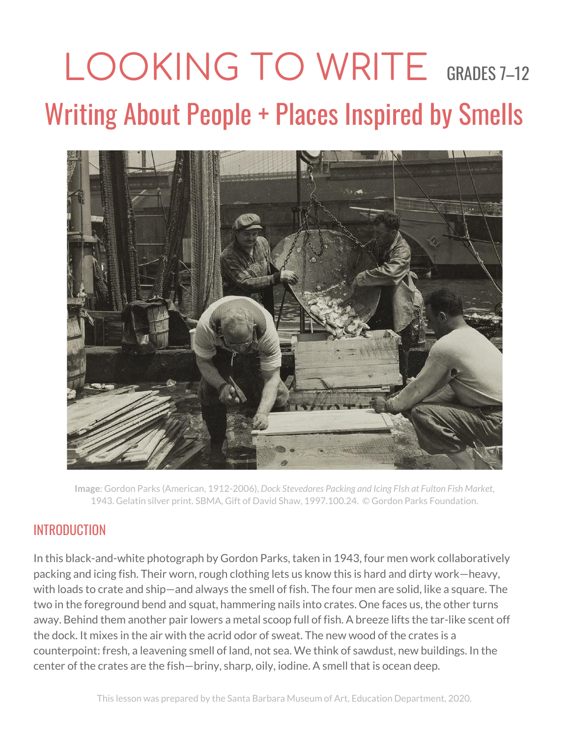## LOOKING TO WRITE GRADES 7-12 Writing About People + Places Inspired by Smells



**Image**: Gordon Parks (American, 1912-2006), *Dock Stevedores Packing and Icing FIsh at Fulton Fish Market*, 1943. Gelatin silver print. SBMA, Gift of David Shaw, 1997.100.24. © Gordon Parks Foundation.

## INTRODUCTION

In this black-and-white photograph by Gordon Parks, taken in 1943, four men work collaboratively packing and icing fish. Their worn, rough clothing lets us know this is hard and dirty work—heavy, with loads to crate and ship—and always the smell of fish. The four men are solid, like a square. The two in the foreground bend and squat, hammering nails into crates. One faces us, the other turns away. Behind them another pair lowers a metal scoop full of fish. A breeze lifts the tar-like scent off the dock. It mixes in the air with the acrid odor of sweat. The new wood of the crates is a counterpoint: fresh, a leavening smell of land, not sea. We think of sawdust, new buildings. In the center of the crates are the fish—briny, sharp, oily, iodine. A smell that is ocean deep.